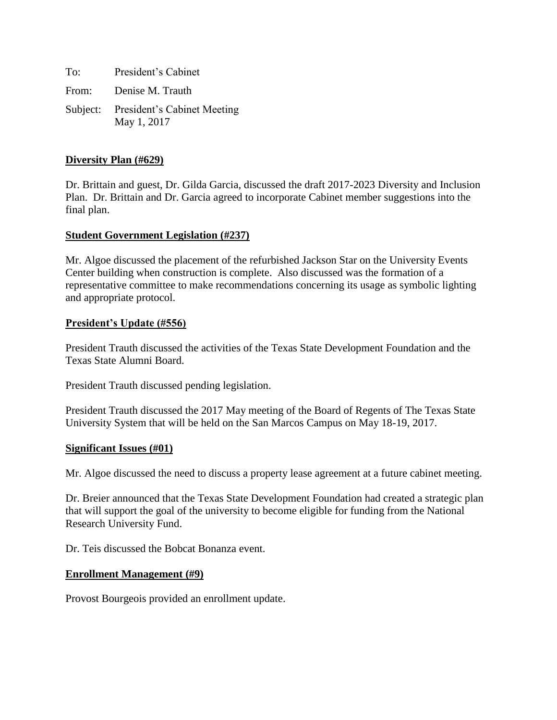To: President's Cabinet From: Denise M. Trauth

Subject: President's Cabinet Meeting May 1, 2017

## **Diversity Plan (#629)**

Dr. Brittain and guest, Dr. Gilda Garcia, discussed the draft 2017-2023 Diversity and Inclusion Plan. Dr. Brittain and Dr. Garcia agreed to incorporate Cabinet member suggestions into the final plan.

### **Student Government Legislation (#237)**

Mr. Algoe discussed the placement of the refurbished Jackson Star on the University Events Center building when construction is complete. Also discussed was the formation of a representative committee to make recommendations concerning its usage as symbolic lighting and appropriate protocol.

### **President's Update (#556)**

President Trauth discussed the activities of the Texas State Development Foundation and the Texas State Alumni Board.

President Trauth discussed pending legislation.

President Trauth discussed the 2017 May meeting of the Board of Regents of The Texas State University System that will be held on the San Marcos Campus on May 18-19, 2017.

#### **Significant Issues (#01)**

Mr. Algoe discussed the need to discuss a property lease agreement at a future cabinet meeting.

Dr. Breier announced that the Texas State Development Foundation had created a strategic plan that will support the goal of the university to become eligible for funding from the National Research University Fund.

Dr. Teis discussed the Bobcat Bonanza event.

#### **Enrollment Management (#9)**

Provost Bourgeois provided an enrollment update.